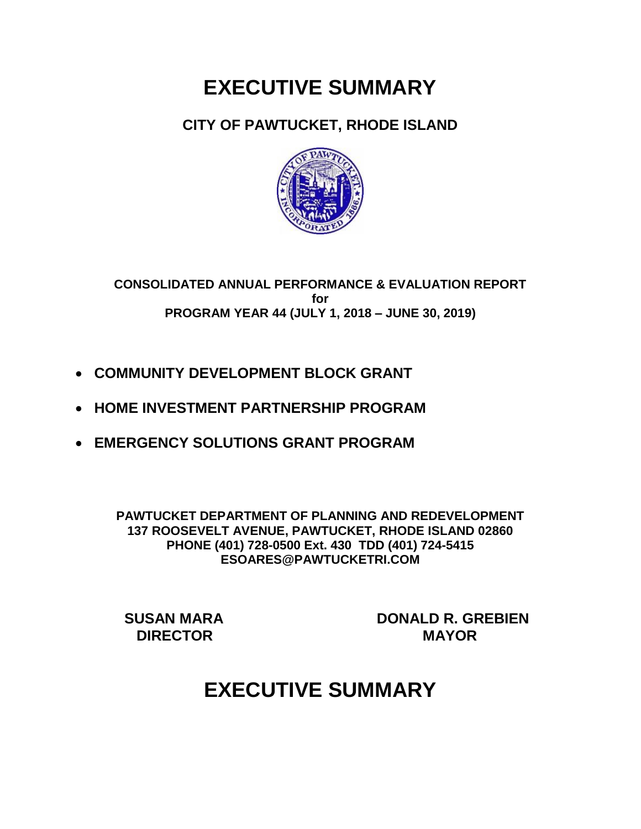# **EXECUTIVE SUMMARY**

## **CITY OF PAWTUCKET, RHODE ISLAND**



**CONSOLIDATED ANNUAL PERFORMANCE & EVALUATION REPORT for PROGRAM YEAR 44 (JULY 1, 2018 – JUNE 30, 2019)**

- **COMMUNITY DEVELOPMENT BLOCK GRANT**
- **HOME INVESTMENT PARTNERSHIP PROGRAM**
- **EMERGENCY SOLUTIONS GRANT PROGRAM**

**PAWTUCKET DEPARTMENT OF PLANNING AND REDEVELOPMENT 137 ROOSEVELT AVENUE, PAWTUCKET, RHODE ISLAND 02860 PHONE (401) 728-0500 Ext. 430 TDD (401) 724-5415 ESOARES@PAWTUCKETRI.COM**

 **SUSAN MARA DONALD R. GREBIEN DIRECTOR MAYOR**

# **EXECUTIVE SUMMARY**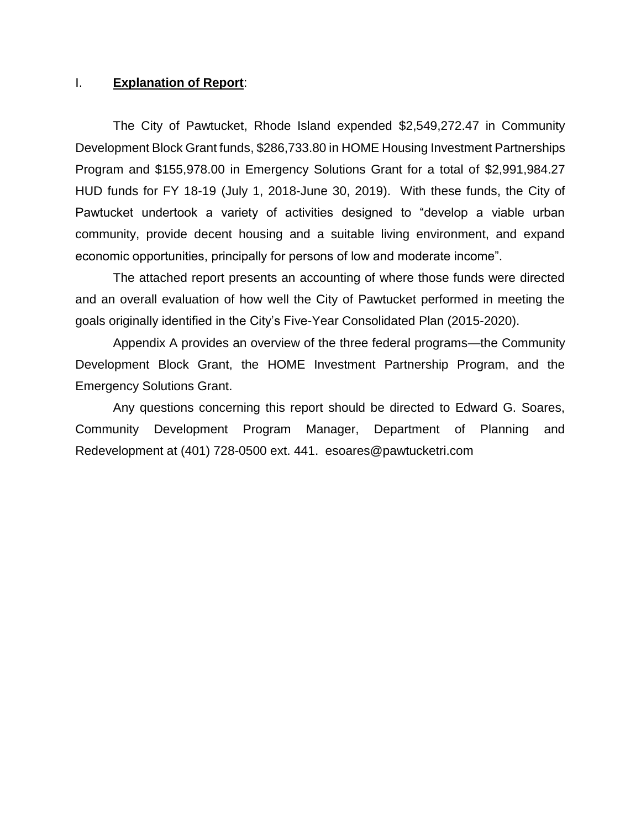#### I. **Explanation of Report**:

The City of Pawtucket, Rhode Island expended \$2,549,272.47 in Community Development Block Grant funds, \$286,733.80 in HOME Housing Investment Partnerships Program and \$155,978.00 in Emergency Solutions Grant for a total of \$2,991,984.27 HUD funds for FY 18-19 (July 1, 2018-June 30, 2019). With these funds, the City of Pawtucket undertook a variety of activities designed to "develop a viable urban community, provide decent housing and a suitable living environment, and expand economic opportunities, principally for persons of low and moderate income".

The attached report presents an accounting of where those funds were directed and an overall evaluation of how well the City of Pawtucket performed in meeting the goals originally identified in the City's Five-Year Consolidated Plan (2015-2020).

Appendix A provides an overview of the three federal programs—the Community Development Block Grant, the HOME Investment Partnership Program, and the Emergency Solutions Grant.

Any questions concerning this report should be directed to Edward G. Soares, Community Development Program Manager, Department of Planning and Redevelopment at (401) 728-0500 ext. 441. esoares@pawtucketri.com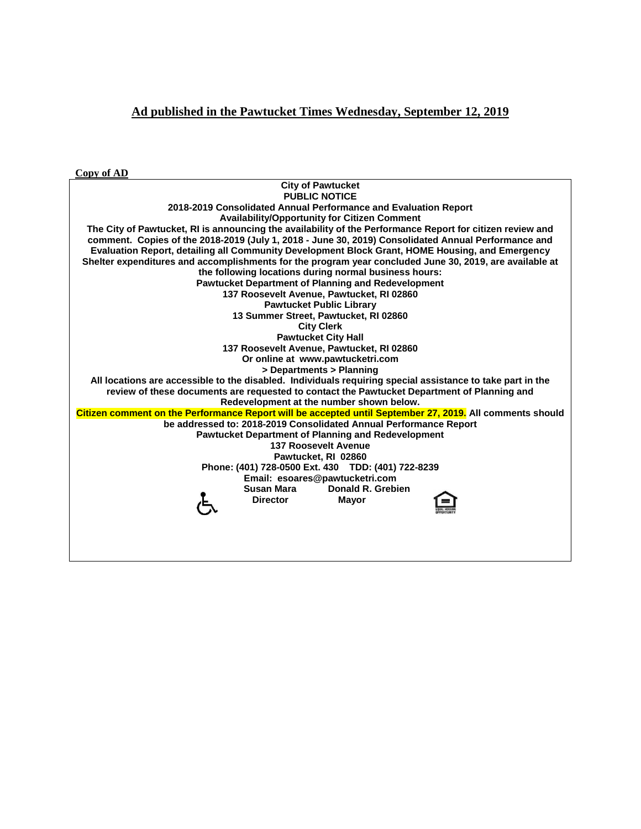#### **Ad published in the Pawtucket Times Wednesday, September 12, 2019**

**Copy of AD**

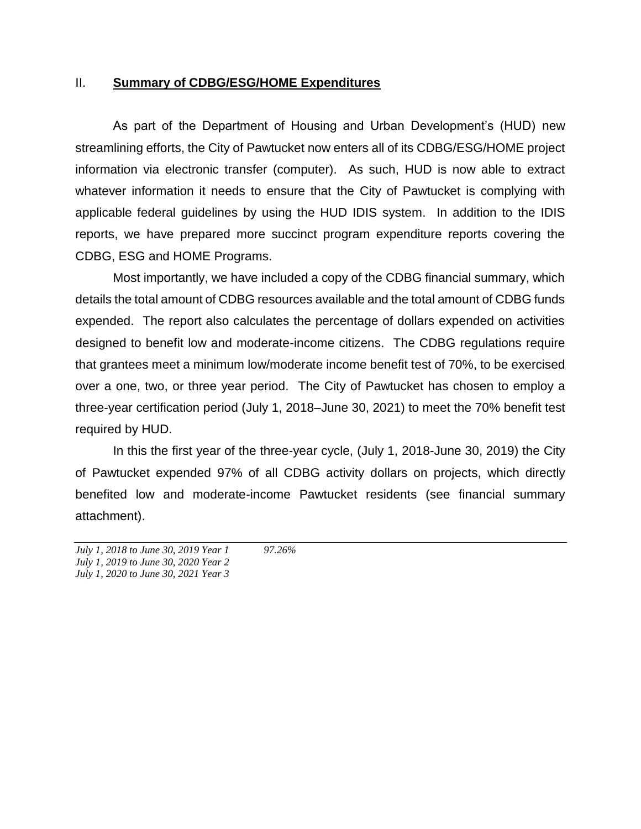#### II. **Summary of CDBG/ESG/HOME Expenditures**

As part of the Department of Housing and Urban Development's (HUD) new streamlining efforts, the City of Pawtucket now enters all of its CDBG/ESG/HOME project information via electronic transfer (computer). As such, HUD is now able to extract whatever information it needs to ensure that the City of Pawtucket is complying with applicable federal guidelines by using the HUD IDIS system. In addition to the IDIS reports, we have prepared more succinct program expenditure reports covering the CDBG, ESG and HOME Programs.

Most importantly, we have included a copy of the CDBG financial summary, which details the total amount of CDBG resources available and the total amount of CDBG funds expended. The report also calculates the percentage of dollars expended on activities designed to benefit low and moderate-income citizens. The CDBG regulations require that grantees meet a minimum low/moderate income benefit test of 70%, to be exercised over a one, two, or three year period. The City of Pawtucket has chosen to employ a three-year certification period (July 1, 2018–June 30, 2021) to meet the 70% benefit test required by HUD.

In this the first year of the three-year cycle, (July 1, 2018-June 30, 2019) the City of Pawtucket expended 97% of all CDBG activity dollars on projects, which directly benefited low and moderate-income Pawtucket residents (see financial summary attachment).

*July 1, 2018 to June 30, 2019 Year 1 97.26% July 1, 2019 to June 30, 2020 Year 2 July 1, 2020 to June 30, 2021 Year 3*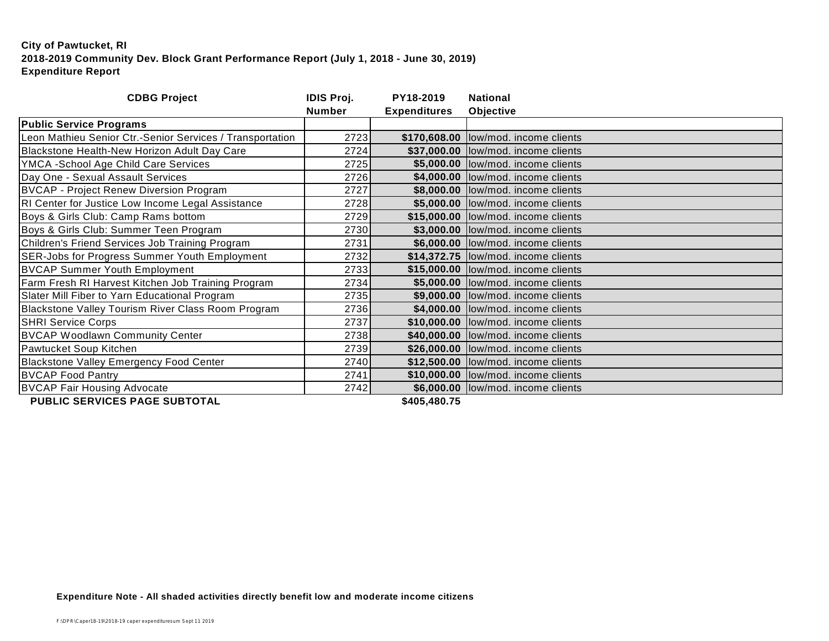| Objective<br><b>Expenditures</b><br>\$170,608.00  low/mod. income clients<br>\$37,000.00  low/mod. income clients |
|-------------------------------------------------------------------------------------------------------------------|
|                                                                                                                   |
|                                                                                                                   |
|                                                                                                                   |
|                                                                                                                   |
| \$5,000.00 low/mod. income clients                                                                                |
| \$4,000.00 low/mod. income clients                                                                                |
| \$8,000.00 low/mod. income clients                                                                                |
| \$5,000.00  low/mod. income clients                                                                               |
| \$15,000.00  low/mod. income clients                                                                              |
| \$3,000.00 low/mod. income clients                                                                                |
| \$6,000.00 low/mod. income clients                                                                                |
| \$14,372.75  low/mod. income clients                                                                              |
| \$15,000.00  low/mod. income clients                                                                              |
| \$5,000.00 low/mod. income clients                                                                                |
| \$9,000.00 low/mod. income clients                                                                                |
| \$4,000.00 low/mod. income clients                                                                                |
| \$10,000.00 low/mod. income clients                                                                               |
| \$40,000.00 low/mod. income clients                                                                               |
| \$26,000.00  low/mod. income clients                                                                              |
| \$12,500.00  low/mod. income clients                                                                              |
| \$10,000.00  low/mod. income clients                                                                              |
| \$6,000.00  low/mod. income clients                                                                               |
|                                                                                                                   |

**PUBLIC SERVICES PAGE SUBTOTAL**   $$405,480.75$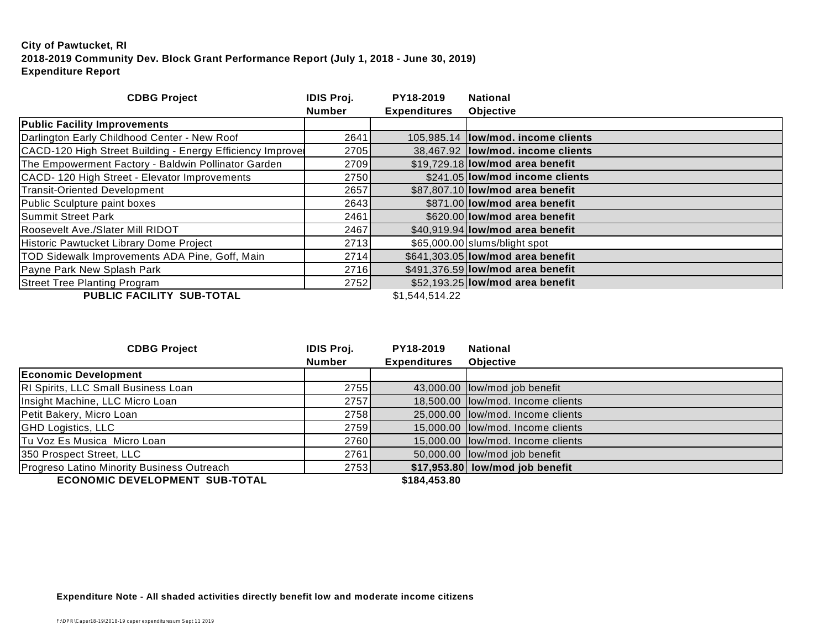| <b>CDBG Project</b>                                       | <b>IDIS Proj.</b> | PY18-2019           | <b>National</b>                     |
|-----------------------------------------------------------|-------------------|---------------------|-------------------------------------|
|                                                           | <b>Number</b>     | <b>Expenditures</b> | <b>Objective</b>                    |
| <b>Public Facility Improvements</b>                       |                   |                     |                                     |
| Darlington Early Childhood Center - New Roof              | 2641              |                     | 105,985.14  low/mod. income clients |
| CACD-120 High Street Building - Energy Efficiency Improve | 2705              |                     | 38,467.92  low/mod. income clients  |
| The Empowerment Factory - Baldwin Pollinator Garden       | 2709              |                     | \$19,729.18 low/mod area benefit    |
| CACD-120 High Street - Elevator Improvements              | 2750              |                     | \$241.05 low/mod income clients     |
| Transit-Oriented Development                              | 2657              |                     | \$87,807.10 low/mod area benefit    |
| Public Sculpture paint boxes                              | 2643              |                     | \$871.00 low/mod area benefit       |
| Summit Street Park                                        | 2461              |                     | \$620.00 low/mod area benefit       |
| Roosevelt Ave./Slater Mill RIDOT                          | 2467              |                     | \$40,919.94 low/mod area benefit    |
| Historic Pawtucket Library Dome Project                   | 2713              |                     | \$65,000.00 slums/blight spot       |
| TOD Sidewalk Improvements ADA Pine, Goff, Main            | 2714              |                     | \$641,303.05 low/mod area benefit   |
| Payne Park New Splash Park                                | 2716              |                     | \$491,376.59 low/mod area benefit   |
| <b>Street Tree Planting Program</b>                       | 2752              |                     | \$52,193.25 low/mod area benefit    |
| BUBLIA FIAU ITV. AUB TATIL                                |                   | . <i>.</i>          |                                     |

**PUBLIC FACILITY SUB-TOTAL** \$1,544,514.22

| <b>CDBG Project</b>                        | <b>IDIS Proj.</b> | PY18-2019           | <b>National</b>                   |
|--------------------------------------------|-------------------|---------------------|-----------------------------------|
|                                            | <b>Number</b>     | <b>Expenditures</b> | <b>Objective</b>                  |
| <b>Economic Development</b>                |                   |                     |                                   |
| RI Spirits, LLC Small Business Loan        | 2755              |                     | 43,000.00 low/mod job benefit     |
| Insight Machine, LLC Micro Loan            | 2757              |                     | 18,500.00 low/mod. Income clients |
| Petit Bakery, Micro Loan                   | 2758 <b>1</b>     |                     | 25,000.00 low/mod. Income clients |
| <b>GHD Logistics, LLC</b>                  | 2759              |                     | 15,000.00 low/mod. Income clients |
| Tu Voz Es Musica Micro Loan                | 2760              |                     | 15,000.00 low/mod. Income clients |
| 350 Prospect Street, LLC                   | 2761              |                     | 50,000.00 low/mod job benefit     |
| Progreso Latino Minority Business Outreach | 2753              |                     | $$17,953.80$ low/mod job benefit  |
| <b>COOMOMIC BEVELOBMENT CUB TOTAL</b>      |                   | $0.404$ $0.500$     |                                   |

**ECONOMIC DEVELOPMENT SUB-TOTAL \$184,453.80**

**Expenditure Note - All shaded activities directly benefit low and moderate income citizens**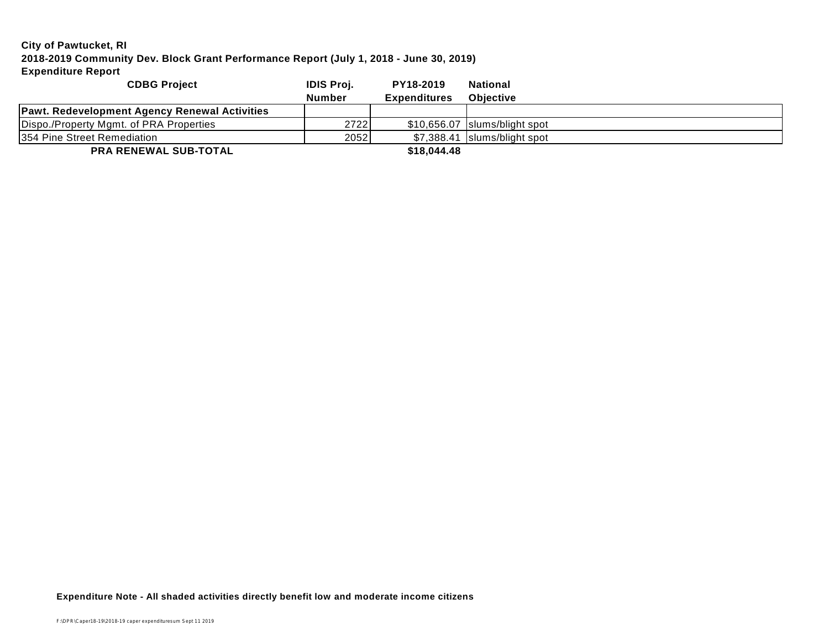| <b>CDBG Project</b>                           | <b>IDIS Proj.</b> | PY18-2019           | <b>National</b>               |
|-----------------------------------------------|-------------------|---------------------|-------------------------------|
|                                               | <b>Number</b>     | <b>Expenditures</b> | <b>Objective</b>              |
| Pawt. Redevelopment Agency Renewal Activities |                   |                     |                               |
| Dispo./Property Mgmt. of PRA Properties       | 2722              |                     | \$10.656.07 Slums/blight spot |
| 354 Pine Street Remediation                   | 2052              |                     | \$7.388.41 Islums/blight spot |
| <b>DDA DEMEMAL OUD TOTAL</b>                  |                   | 0.1001110           |                               |

**PRA RENEWAL SUB-TOTAL \$18,044.48**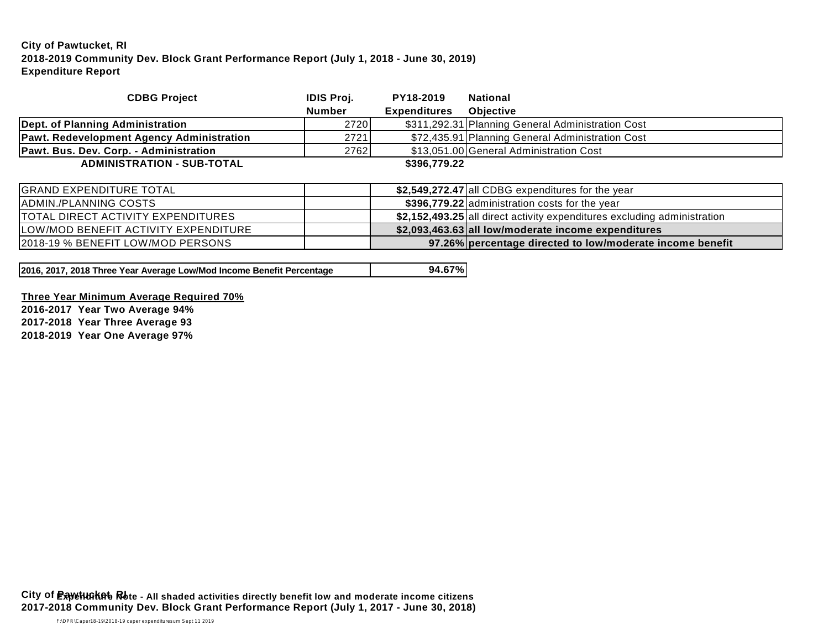| <b>CDBG Project</b>                       | <b>IDIS Proj.</b> | PY18-2019           | <b>National</b>                                                          |
|-------------------------------------------|-------------------|---------------------|--------------------------------------------------------------------------|
|                                           | <b>Number</b>     | <b>Expenditures</b> | <b>Objective</b>                                                         |
| Dept. of Planning Administration          | 2720              |                     | \$311,292.31 Planning General Administration Cost                        |
| Pawt. Redevelopment Agency Administration | 2721              |                     | \$72,435.91 Planning General Administration Cost                         |
| Pawt. Bus. Dev. Corp. - Administration    | 2762              |                     | \$13,051.00 General Administration Cost                                  |
| <b>ADMINISTRATION - SUB-TOTAL</b>         |                   | \$396,779.22        |                                                                          |
|                                           |                   |                     |                                                                          |
| <b>GRAND EXPENDITURE TOTAL</b>            |                   |                     | \$2,549,272.47 all CDBG expenditures for the year                        |
| ADMIN./PLANNING COSTS                     |                   |                     | \$396,779.22 administration costs for the year                           |
| <b>TOTAL DIRECT ACTIVITY EXPENDITURES</b> |                   |                     | \$2,152,493.25 all direct activity expenditures excluding administration |
| LOW/MOD BENEFIT ACTIVITY EXPENDITURE      |                   |                     | \$2,093,463.63 all low/moderate income expenditures                      |
| 2018-19 % BENEFIT LOW/MOD PERSONS         |                   |                     | 97.26% percentage directed to low/moderate income benefit                |

**2016, 2017, 2018 Three Year Average Low/Mod Income Benefit Percentage 94.67%**

**Three Year Minimum Average Required 70% 2016-2017 Year Two Average 94%**

**2017-2018 Year Three Average 93**

**2018-2019 Year One Average 97%**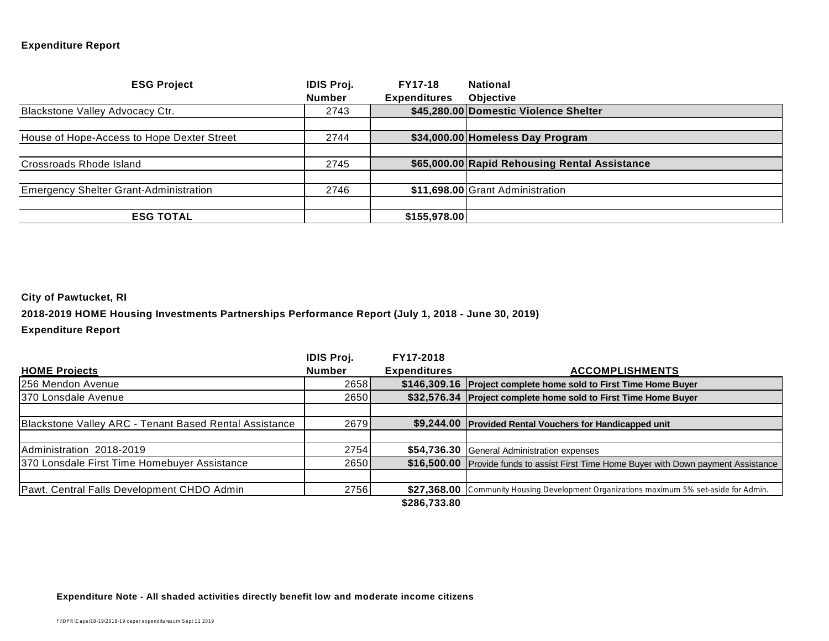#### **Expenditure Report**

| <b>ESG Project</b>                            | <b>IDIS Proj.</b> | <b>FY17-18</b>      | <b>National</b>                               |
|-----------------------------------------------|-------------------|---------------------|-----------------------------------------------|
|                                               | <b>Number</b>     | <b>Expenditures</b> | <b>Objective</b>                              |
| Blackstone Valley Advocacy Ctr.               | 2743              |                     | \$45,280.00 Domestic Violence Shelter         |
|                                               |                   |                     |                                               |
| House of Hope-Access to Hope Dexter Street    | 2744              |                     | \$34,000.00 Homeless Day Program              |
|                                               |                   |                     |                                               |
| Crossroads Rhode Island                       | 2745              |                     | \$65,000.00 Rapid Rehousing Rental Assistance |
|                                               |                   |                     |                                               |
| <b>Emergency Shelter Grant-Administration</b> | 2746              |                     | \$11,698.00 Grant Administration              |
|                                               |                   |                     |                                               |
| <b>ESG TOTAL</b>                              |                   | \$155,978.00        |                                               |

#### **City of Pawtucket, RI**

**2018-2019 HOME Housing Investments Partnerships Performance Report (July 1, 2018 - June 30, 2019)**

#### **Expenditure Report**

|                                                        | <b>IDIS Proj.</b> | FY17-2018           |                                                                                         |
|--------------------------------------------------------|-------------------|---------------------|-----------------------------------------------------------------------------------------|
| <b>HOME Projects</b>                                   | <b>Number</b>     | <b>Expenditures</b> | <b>ACCOMPLISHMENTS</b>                                                                  |
| 256 Mendon Avenue                                      | 2658              |                     | \$146,309.16 Project complete home sold to First Time Home Buyer                        |
| 370 Lonsdale Avenue                                    | 2650              |                     | \$32,576.34 Project complete home sold to First Time Home Buyer                         |
|                                                        |                   |                     |                                                                                         |
| Blackstone Valley ARC - Tenant Based Rental Assistance | 2679              |                     | \$9,244.00 Provided Rental Vouchers for Handicapped unit                                |
|                                                        |                   |                     |                                                                                         |
| Administration 2018-2019                               | 2754              |                     | \$54,736.30 General Administration expenses                                             |
| 370 Lonsdale First Time Homebuyer Assistance           | 2650              |                     | \$16,500.00 Provide funds to assist First Time Home Buyer with Down payment Assistance  |
|                                                        |                   |                     |                                                                                         |
| Pawt. Central Falls Development CHDO Admin             | 2756              |                     | \$27,368.00 Community Housing Development Organizations maximum 5% set-aside for Admin. |
|                                                        |                   | \$286,733.80        |                                                                                         |

#### **Expenditure Note - All shaded activities directly benefit low and moderate income citizens**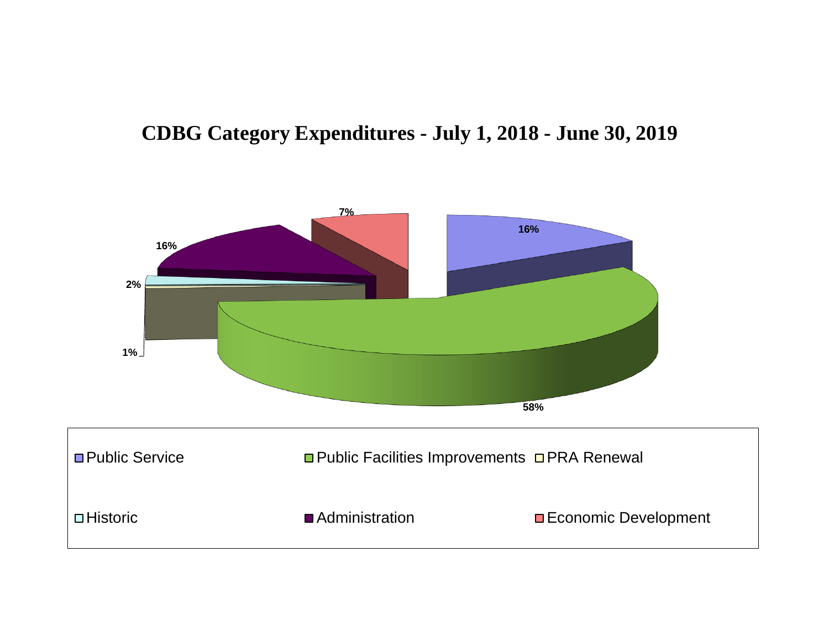## **CDBG Category Expenditures - July 1, 2018 - June 30, 2019**

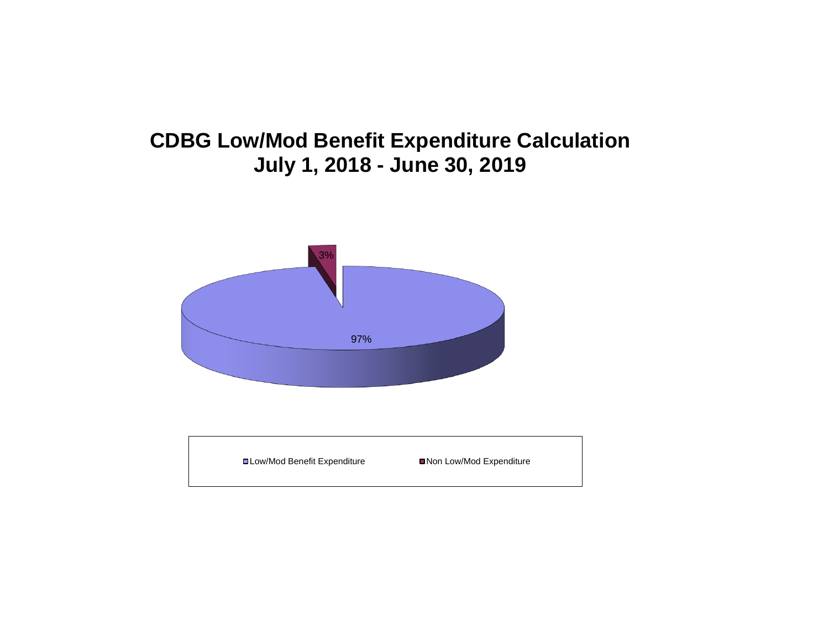# **CDBG Low/Mod Benefit Expenditure Calculation July 1, 2018 - June 30, 2019**



| <b>□Low/Mod Benefit Expenditure</b><br>■Non Low/Mod Expenditure |
|-----------------------------------------------------------------|
|-----------------------------------------------------------------|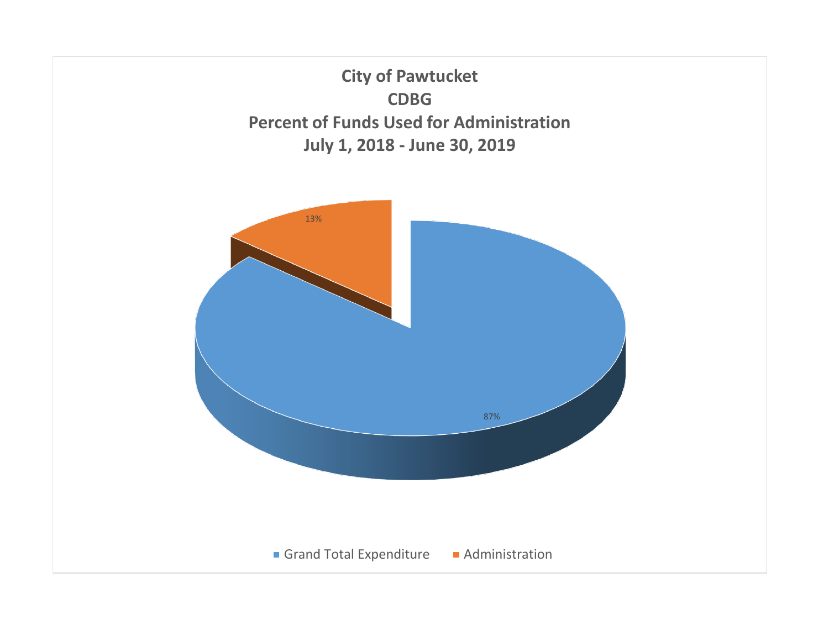**City of Pawtucket CDBG Percent of Funds Used for Administration July 1, 2018 - June 30, 2019**

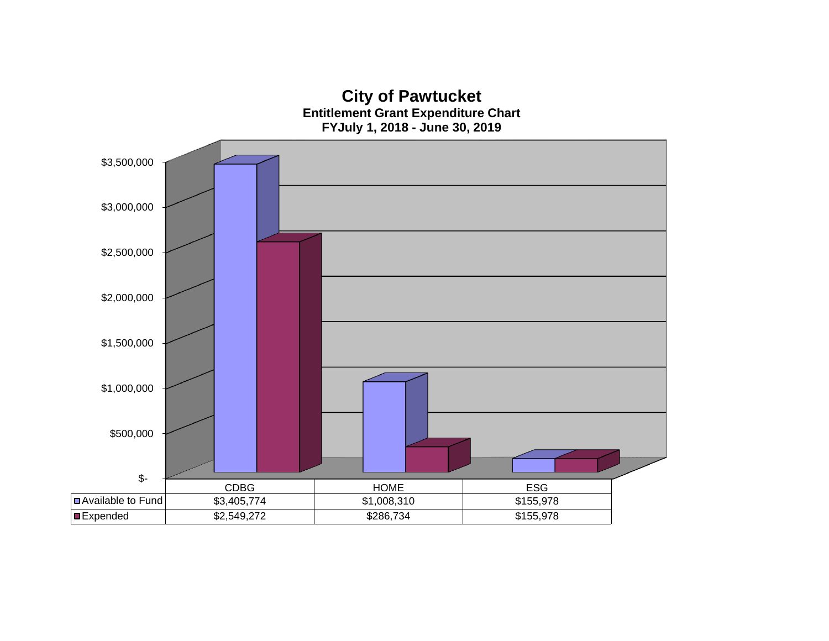